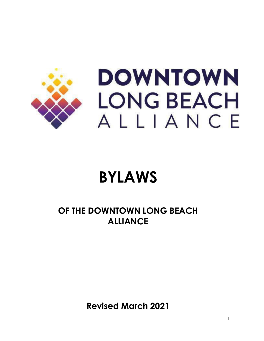

# **DOWNTOWN LONG BEACH** ALLIANCE

# **BYLAWS**

# **OF THE DOWNTOWN LONG BEACH ALLIANCE**

**Revised March 2021**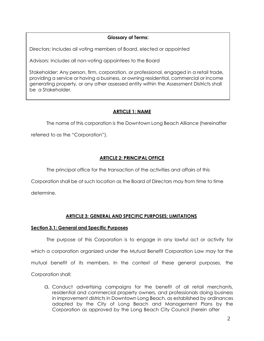# **Glossary of Terms:**

Directors: Includes all voting members of Board, elected or appointed

Advisors: Includes all non-voting appointees to the Board

Stakeholder: Any person, firm, corporation, or professional, engaged in a retail trade, providing a service or having a business, or owning residential, commercial or income generating property, or any other assessed entity within the Assessment Districts shall be a Stakeholder.

# **ARTICLE 1: NAME**

The name of this corporation is the Downtown Long Beach Alliance (hereinafter

referred to as the "Corporation").

# **ARTICLE 2: PRINCIPAL OFFICE**

The principal office for the transaction of the activities and affairs of this

Corporation shall be at such location as the Board of Directors may from time to time

determine.

# **ARTICLE 3: GENERAL AND SPECIFIC PURPOSES; LIMITATIONS**

# **Section 3.1: General and Specific Purposes**

The purpose of this Corporation is to engage in any lawful act or activity for which a corporation organized under the Mutual Benefit Corporation Law may for the mutual benefit of its members. In the context of these general purposes, the Corporation shall:

a. Conduct advertising campaigns for the benefit of all retail merchants, residential and commercial property owners, and professionals doing business in improvement districts in Downtown Long Beach, as established by ordinances adopted by the City of Long Beach and Management Plans by the Corporation as approved by the Long Beach City Council (herein after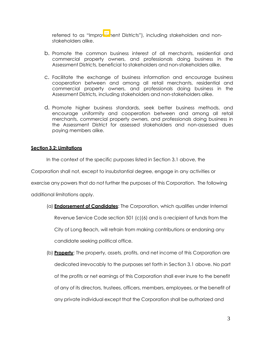referred to as "Improverhent Districts"), including stakeholders and nonstakeholders alike.

- b. Promote the common business interest of all merchants, residential and commercial property owners, and professionals doing business in the Assessment Districts, beneficial to stakeholders and non-stakeholders alike.
- c. Facilitate the exchange of business information and encourage business cooperation between and among all retail merchants, residential and commercial property owners, and professionals doing business in the Assessment Districts, including stakeholders and non-stakeholders alike.
- d. Promote higher business standards, seek better business methods, and encourage uniformity and cooperation between and among all retail merchants, commercial property owners, and professionals doing business in the Assessment District for assessed stakeholders and non-assessed dues paying members alike.

# **Section 3.2: Limitations**

In the context of the specific purposes listed in Section 3.1 above, the

Corporation shall not, except to insubstantial degree, engage in any activities or

exercise any powers that do not further the purposes of this Corporation. The following

additional limitations apply.

- (a) **Endorsement of Candidates**: The Corporation, which qualifies under Internal Revenue Service Code section 501 (c)(6) and is a recipient of funds from the City of Long Beach, will refrain from making contributions or endorsing any candidate seeking political office.
- (b) **Property**: The property, assets, profits, and net income of this Corporation are dedicated irrevocably to the purposes set forth in Section 3.1 above. No part of the profits or net earnings of this Corporation shall ever inure to the benefit of any of its directors, trustees, officers, members, employees, or the benefit of any private individual except that the Corporation shall be authorized and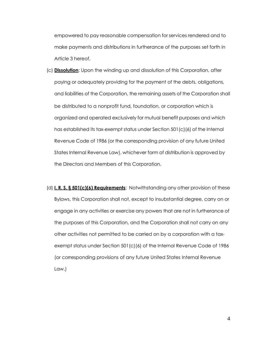empowered to pay reasonable compensation for services rendered and to make payments and distributions in furtherance of the purposes set forth in Article 3 hereof.

- (c) **Dissolution**: Upon the winding up and dissolution of this Corporation, after paying or adequately providing for the payment of the debts, obligations, and liabilities of the Corporation, the remaining assets of the Corporation shall be distributed to a nonprofit fund, foundation, or corporation which is organized and operated exclusively for mutual benefit purposes and which has established its tax-exempt status under Section 501(c)(6) of the Internal Revenue Code of 1986 (or the corresponding provision of any future United States Internal Revenue Law), whichever form of distribution is approved by the Directors and Members of this Corporation.
- (d) **I. R. S. § 501(c)(6) Requirements**: Notwithstanding any other provision of these Bylaws, this Corporation shall not, except to insubstantial degree, carry on or engage in any activities or exercise any powers that are not in furtherance of the purposes of this Corporation, and the Corporation shall not carry on any other activities not permitted to be carried on by a corporation with a taxexempt status under Section 501(c)(6) of the Internal Revenue Code of 1986 (or corresponding provisions of any future United States Internal Revenue Law.)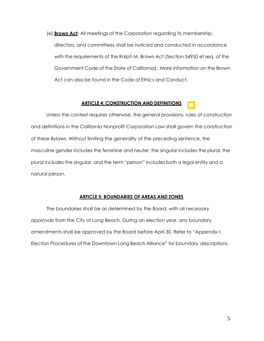(e) **Brown Act**: All meetings of the Corporation regarding its membership, directors, and committees shall be noticed and conducted in accordance with the requirements of the Ralph M. Brown Act (Section 54950 et seq. of the Government Code of the State of California). More information on the Brown Act can also be found in the Code of Ethics and Conduct.

#### **ARTICLE 4: CONSTRUCTION AND DEFINITIONS**

Unless the context requires otherwise, the general provisions, rules of construction and definitions in the California Nonprofit Corporation Law shall govern the construction of these Bylaws. Without limiting the generality of the preceding sentence, the masculine gender includes the feminine and neuter, the singular includes the plural, the plural includes the singular, and the term "person" includes both a legal entity and a natural person.

#### **ARTICLE 5: BOUNDARIES OF AREAS AND ZONES**

The boundaries shall be as determined by the Board, with all necessary approvals from the City of Long Beach. During an election year, any boundary amendments shall be approved by the Board before April 30. Refer to "Appendix I: Election Procedures of the Downtown Long Beach Alliance" for boundary descriptions.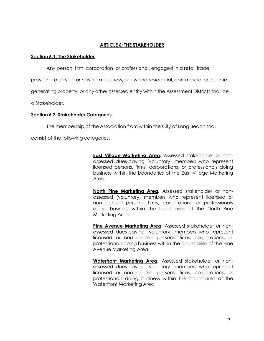# **ARTICLE 6: THE STAKEHOLDER**

# **Section 6.1: The Stakeholder**

Any person, firm, corporation, or professional, engaged in a retail trade,

providing a service or having a business, or owning residential, commercial or income

generating property, or any other assessed entity within the Assessment Districts shall be

a Stakeholder.

# **Section 6.2: Stakeholder Categories**

The membership of the Association from within the City of Long Beach shall

consist of the following categories:

**East Village Marketing Area.** Assessed stakeholder or nonassessed dues-paying (voluntary) members who represent licensed persons, firms, corporations, or professionals doing business within the boundaries of the East Village Marketing Area.

**North Pine Marketing Area.** Assessed stakeholder or nonassessed (voluntary) members who represent licensed or non-licensed persons, firms, corporations, or professionals doing business within the boundaries of the North Pine Marketing Area.

Pine Avenue Marketing Area. Assessed stakeholder or nonassessed dues-paying (voluntary) members who represent licensed or non-licensed persons, firms, corporations, or professionals doing business within the boundaries of the Pine Avenue Marketing Area.

**Waterfront Marketing Area.** Assessed stakeholder or nonassessed dues-paying (voluntary) members who represent licensed or non-licensed persons, firms, corporations, or professionals doing business within the boundaries of the Waterfront Marketing Area.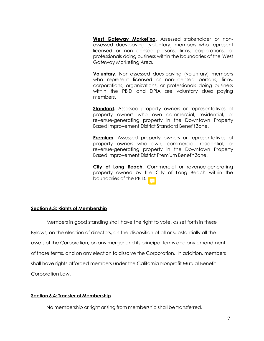**West Gateway Marketing.** Assessed stakeholder or nonassessed dues-paying (voluntary) members who represent licensed or non-licensed persons, firms, corporations, or professionals doing business within the boundaries of the West Gateway Marketing Area.

**Voluntary.** Non-assessed dues-paying (voluntary) members who represent licensed or non-licensed persons, firms, corporations, organizations, or professionals doing business within the PBID and DPIA are voluntary dues paying members.

**Standard.** Assessed property owners or representatives of property owners who own commercial, residential, or revenue-generating property in the Downtown Property Based Improvement District Standard Benefit Zone.

**Premium.** Assessed property owners or representatives of property owners who own, commercial, residential, or revenue-generating property in the Downtown Property Based Improvement District Premium Benefit Zone.

**City of Long Beach.** Commercial or revenue-generating property owned by the City of Long Beach within the boundaries of the PBID*.*

# **Section 6.3: Rights of Membership**

Members in good standing shall have the right to vote, as set forth in these Bylaws, on the election of directors, on the disposition of all or substantially all the assets of the Corporation, on any merger and its principal terms and any amendment of those terms, and on any election to dissolve the Corporation. In addition, members shall have rights afforded members under the California Nonprofit Mutual Benefit Corporation Law.

# **Section 6.4: Transfer of Membership**

No membership or right arising from membership shall be transferred.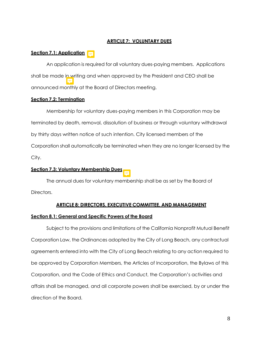# **ARTICLE 7: VOLUNTARY DUES**

# **Section 7.1: Application**

An application is required for all voluntary dues-paying members. Applications shall be made in writing and when approved by the President and CEO shall be announced monthly at the Board of Directors meeting.

#### **Section 7.2: Termination**

Membership for voluntary dues-paying members in this Corporation may be terminated by death, removal, dissolution of business or through voluntary withdrawal by thirty days written notice of such intention. City licensed members of the Corporation shall automatically be terminated when they are no longer licensed by the City.

# **Section 7.3: Voluntary Membership Dues**



#### **ARTICLE 8: DIRECTORS, EXECUTIVE COMMITTEE, AND MANAGEMENT**

#### **Section 8.1: General and Specific Powers of the Board**

Subject to the provisions and limitations of the California Nonprofit Mutual Benefit Corporation Law, the Ordinances adopted by the City of Long Beach, any contractual agreements entered into with the City of Long Beach relating to any action required to be approved by Corporation Members, the Articles of Incorporation, the Bylaws of this Corporation, and the Code of Ethics and Conduct, the Corporation's activities and affairs shall be managed, and all corporate powers shall be exercised, by or under the direction of the Board.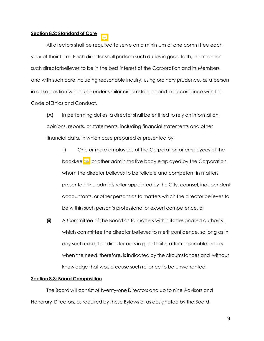# **Section 8.2: Standard of Care**

All directors shall be required to serve on a minimum of one committee each year of their term. Each director shall perform such duties in good faith, in a manner such directorbelieves to be in the best interest of the Corporation and its Members, and with such care including reasonable inquiry, using ordinary prudence, as a person in a like position would use under similar circumstances and in accordance with the Code ofEthics and Conduct.

(A) In performing duties, a director shall be entitled to rely on information, opinions, reports, or statements, including financial statements and other financial data, in which case prepared or presented by:

- (i) One or more employees of the Corporation or employees of the bookkeeper or other administrative body employed by the Corporation whom the director believes to be reliable and competent in matters presented, the administrator appointed by the City, counsel, independent accountants, or other persons as to matters which the director believes to be within such person's professional or expert competence, or
- (ii) A Committee of the Board as to matters within its designated authority, which committee the director believes to merit confidence, so long as in any such case, the director acts in good faith, after reasonable inquiry when the need, therefore, is indicated by the circumstances and without knowledge that would cause such reliance to be unwarranted.

#### **Section 8.3: Board Composition**

The Board will consist of twenty-one Directors and up to nine Advisors and Honorary Directors, as required by these Bylaws or as designated by the Board.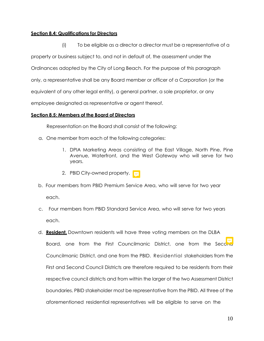# **Section 8.4: Qualifications for Directors**

(i) To be eligible as a director a director must be a representative of a property or business subject to, and not in default of, the assessment under the Ordinances adopted by the City of Long Beach. For the purpose of this paragraph only, a representative shall be any Board member or officer of a Corporation (or the equivalent of any other legal entity), a general partner, a sole proprietor, or any employee designated as representative or agent thereof.

# **Section 8.5: Members of the Board of Directors**

Representation on the Board shall consist of the following:

- a. One member from each of the following categories:
	- 1. DPIA Marketing Areas consisting of the East Village, North Pine, Pine Avenue, Waterfront, and the West Gateway who will serve for two years.
	- 2. PBID City-owned property.  $\boxed{=}$
- b. Four members from PBID Premium Service Area, who will serve for two year each.
- c. Four members from PBID Standard Service Area, who will serve for two years each.
- d. **Resident.** Downtown residents will have three voting members on the DLBA Board, one from the First Councilmanic District, one from the Second Councilmanic District, and one from the PBID. Residential stakeholders from the First and Second Council Districts are therefore required to be residents from their respective council districts and from within the larger of the two Assessment District boundaries. PBID stakeholder most be representative from the PBID. All three of the aforementioned residential representatives will be eligible to serve on the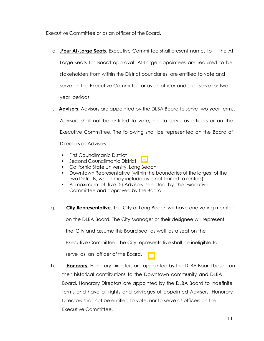Executive Committee or as an officer of the Board.

- e. **.Four At-Large Seats**. Executive Committee shall present names to fill the At-Large seats for Board approval. At-Large appointees are required to be stakeholders from within the District boundaries, are entitled to vote and serve on the Executive Committee or as an officer and shall serve for twoyear periods.
- f. **Advisors**. Advisors are appointed by the DLBA Board to serve two-year terms. Advisors shall not be entitled to vote, nor to serve as officers or on the Executive Committee. The following shall be represented on the Board of Directors as Advisors:
	- **•** First Councilmanic District



- California State University, Long Beach
- Downtown Representative (within the boundaries of the largest of the two Districts, which may include by is not limited to renters)
- A maximum of five (5) Advisors selected by the Executive Committee and approved by the Board.
- g. **City Representative**. The City of Long Beach will have one voting member

on the DLBA Board. The City Manager or their designee will represent

the City and assume this Board seat as well as a seat on the

Executive Committee. The City representative shall be ineligible to

serve as an officer of the Board.

h. **Honorary**. Honorary Directors are appointed by the DLBA Board based on their historical contributions to the Downtown community and DLBA Board. Honorary Directors are appointed by the DLBA Board to indefinite terms and have all rights and privileges of appointed Advisors. Honorary Directors shall not be entitled to vote, nor to serve as officers on the Executive Committee.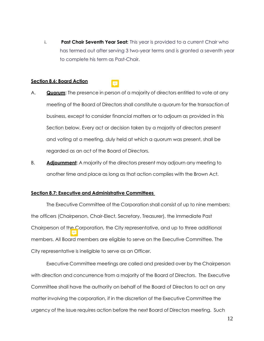i. **Past Chair Seventh Year Seat:** This year is provided to a current Chair who has termed out after serving 3 two-year terms and is granted a seventh year to complete his term as Past-Chair.

#### **Section 8.6: Board Action**

- A. **Quorum**: The presence in person of a majority of directors entitled to vote at any meeting of the Board of Directors shall constitute a quorum for the transaction of business, except to consider financial matters or to adjourn as provided in this Section below. Every act or decision taken by a majority of directors present and voting at a meeting, duly held at which a quorum was present, shall be regarded as an act of the Board of Directors.
- B. **Adjournment**: A majority of the directors present may adjourn any meeting to another time and place as long as that action complies with the Brown Act.

#### **Section 8.7: Executive and Administrative Committees**

The Executive Committee of the Corporation shall consist of up to nine members: the officers (Chairperson, Chair-Elect, Secretary, Treasurer), the Immediate Past Chairperson of the Corporation, the City representative, and up to three additional members. All Board members are eligible to serve on the Executive Committee. The City representative is ineligible to serve as an Officer.

Executive Committee meetings are called and presided over by the Chairperson with direction and concurrence from a majority of the Board of Directors. The Executive Committee shall have the authority on behalf of the Board of Directors to act on any matter involving the corporation, if in the discretion of the Executive Committee the urgency of the issue requires action before the next Board of Directors meeting. Such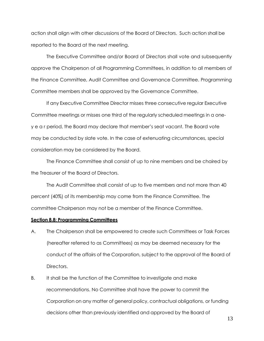action shall align with other discussions of the Board of Directors. Such action shall be reported to the Board at the next meeting.

The Executive Committee and/or Board of Directors shall vote and subsequently approve the Chairperson of all Programming Committees, in addition to all members of the Finance Committee, Audit Committee and Governance Committee. Programming Committee members shall be approved by the Governance Committee.

If any Executive Committee Director misses three consecutive regular Executive Committee meetings or misses one third of the regularly scheduled meetings in a oney e a r period, the Board may declare that member's seat vacant. The Board vote may be conducted by slate vote. In the case of extenuating circumstances, special consideration may be considered by the Board.

The Finance Committee shall consist of up to nine members and be chaired by the Treasurer of the Board of Directors.

The Audit Committee shall consist of up to five members and not more than 40 percent (40%) of its membership may come from the Finance Committee. The committee Chairperson may not be a member of the Finance Committee.

#### **Section 8.8: Programming Committees**

- A. The Chairperson shall be empowered to create such Committees or Task Forces (hereafter referred to as Committees) as may be deemed necessary for the conduct of the affairs of the Corporation, subject to the approval of the Board of Directors.
- B. It shall be the function of the Committee to investigate and make recommendations. No Committee shall have the power to commit the Corporation on any matter of general policy, contractual obligations, or funding decisions other than previously identified and approved by the Board of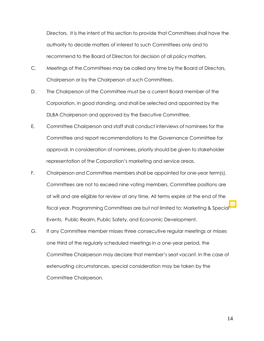Directors. It is the intent of this section to provide that Committees shall have the authority to decide matters of interest to such Committees only and to recommend to the Board of Directors for decision of all policy matters.

- C. Meetings of the Committees may be called any time by the Board of Directors, Chairperson or by the Chairperson of such Committees.
- D. The Chairperson of the Committee must be a current Board member of the Corporation, in good standing, and shall be selected and appointed by the DLBA Chairperson and approved by the Executive Committee.
- E. Committee Chairperson and staff shall conduct interviews of nominees for the Committee and report recommendations to the Governance Committee for approval. In consideration of nominees, priority should be given to stakeholder representation of the Corporation's marketing and service areas.
- F. Chairperson and Committee members shall be appointed for one-year term(s). Committees are not to exceed nine voting members. Committee positions are at will and are eligible for review at any time. All terms expire at the end of the fiscal year. Programming Committees are but not limited to: Marketing & Special Events, Public Realm, Public Safety, and Economic Development.
- G. If any Committee member misses three consecutive regular meetings or misses one third of the regularly scheduled meetings in a one-year period, the Committee Chairperson may declare that member's seat vacant. In the case of extenuating circumstances, special consideration may be taken by the Committee Chairperson.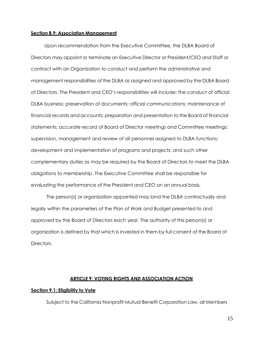#### **Section 8.9: Association Management**

Upon recommendation from the Executive Committee, the DLBA Board of Directors may appoint or terminate an Executive Director or President/CEO and Staff or contract with an Organization to conduct and perform the administrative and management responsibilities of the DLBA as assigned and approved by the DLBA Board of Directors. The President and CEO's responsibilities will include: the conduct of official DLBA business; preservation of documents; official communications; maintenance of financial records and accounts; preparation and presentation to the Board of financial statements; accurate record of Board of Director meetings and Committee meetings; supervision, management and review of all personnel assigned to DLBA functions; development and implementation of programs and projects; and such other complementary duties as may be required by the Board of Directors to meet the DLBA obligations to membership. The Executive Committee shall be responsible for evaluating the performance of the President and CEO on an annual basis.

The person(s) or organization appointed may bind the DLBA contractually and legally within the parameters of the Plan of Work and Budget presented to and approved by the Board of Directors each year. The authority of this person(s) or organization is defined by that which is invested in them by full consent of the Board of Directors.

#### **ARTICLE 9: VOTING RIGHTS AND ASSOCIATION ACTION**

#### **Section 9.1: Eligibility to Vote**

Subject to the California Nonprofit Mutual Benefit Corporation Law, all Members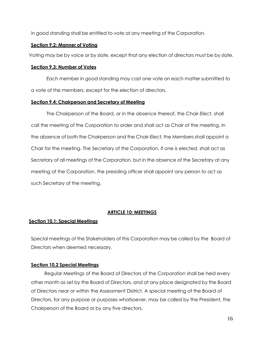in good standing shall be entitled to vote at any meeting of the Corporation.

# **Section 9.2: Manner of Voting**

Voting may be by voice or by slate, except that any election of directors must be by slate.

# **Section 9.3: Number of Votes**

Each member in good standing may cast one vote on each matter submitted to a vote of the members, except for the election of directors.

# **Section 9.4: Chairperson and Secretary of Meeting**

The Chairperson of the Board, or in the absence thereof, the Chair-Elect, shall call the meeting of the Corporation to order and shall act as Chair of the meeting. In the absence of both the Chairperson and the Chair-Elect, the Members shall appoint a Chair for the meeting. The Secretary of the Corporation, if one is elected, shall act as Secretary of all meetings of the Corporation, but in the absence of the Secretary at any meeting of the Corporation, the presiding officer shall appoint any person to act as such Secretary of the meeting.

# **ARTICLE 10: MEETINGS**

# **Section 10.1: Special Meetings**

Special meetings of the Stakeholders of this Corporation may be called by the Board of Directors when deemed necessary.

# **Section 10.2 Special Meetings**

Regular Meetings of the Board of Directors of the Corporation shall be held every other month as set by the Board of Directors, and at any place designated by the Board of Directors near or within the Assessment District. A special meeting of the Board of Directors, for any purpose or purposes whatsoever, may be called by the President, the Chairperson of the Board or by any five directors.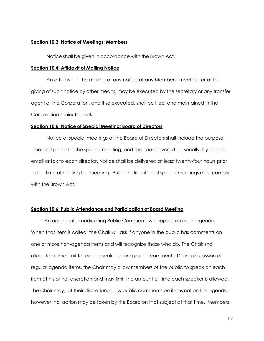#### **Section 10.3: Notice of Meetings; Members**

Notice shall be given in accordance with the Brown Act.

#### **Section 10.4: Affidavit of Mailing Notice**

An affidavit of the mailing of any notice of any Members' meeting, or of the giving of such notice by other means, may be executed by the secretary or any transfer agent of the Corporation, and if so executed, shall be filed and maintained in the Corporation's minute book.

#### **Section 10.5: Notice of Special Meeting; Board of Directors**

Notice of special meetings of the Board of Directors shall include the purpose, time and place for the special meeting, and shall be delivered personally, by phone, email or fax to each director. Notice shall be delivered at least twenty-four hours prior to the time of holding the meeting. Public notification of special meetings must comply with the Brown Act.

#### **Section 10.6: Public Attendance and Participation at Board Meeting**

An agenda item indicating Public Comments will appear on each agenda. When that item is called, the Chair will ask if anyone in the public has comments on one or more non-agenda items and will recognize those who do. The Chair shall allocate a time limit for each speaker during public comments. During discussion of regular agenda items, the Chair may allow members of the public to speak on each item at his or her discretion and may limit the amount of time each speaker is allowed. The Chair may, at their discretion, allow public comments on items not on the agenda; however, no action may be taken by the Board on that subject at that time. Members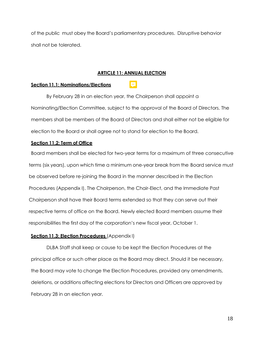of the public must obey the Board's parliamentary procedures. Disruptive behavior shall not be tolerated.

# **ARTICLE 11: ANNUAL ELECTION**

#### **Section 11.1: Nominations/Elections**

By February 28 in an election year, the Chairperson shall appoint a Nominating/Election Committee, subject to the approval of the Board of Directors. The members shall be members of the Board of Directors and shall either not be eligible for election to the Board or shall agree not to stand for election to the Board.

# **Section 11.2: Term of Office**

Board members shall be elected for two-year terms for a maximum of three consecutive terms (six years), upon which time a minimum one-year break from the Board service must be observed before re-joining the Board in the manner described in the Election Procedures (Appendix I). The Chairperson, the Chair-Elect, and the Immediate Past Chairperson shall have their Board terms extended so that they can serve out their respective terms of office on the Board. Newly elected Board members assume their responsibilities the first day of the corporation's new fiscal year, October 1.

#### **Section 11.3: Election Procedures** (Appendix I)

DLBA Staff shall keep or cause to be kept the Election Procedures at the principal office or such other place as the Board may direct. Should it be necessary, the Board may vote to change the Election Procedures, provided any amendments, deletions, or additions affecting elections for Directors and Officers are approved by February 28 in an election year.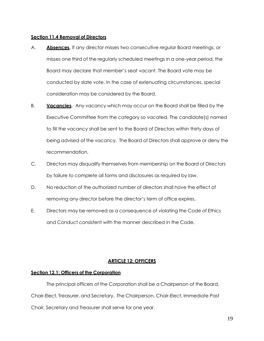# **Section 11.4 Removal of Directors**

- A. **Absences.** If any director misses two consecutive regular Board meetings, or misses one third of the regularly scheduled meetings in a one-year period, the Board may declare that member's seat vacant. The Board vote may be conducted by slate vote. In the case of extenuating circumstances, special consideration may be considered by the Board.
- B. **Vacancies.** Any vacancy which may occur on the Board shall be filled by the Executive Committee from the category so vacated. The candidate(s) named to fill the vacancy shall be sent to the Board of Directors within thirty days of being advised of the vacancy. The Board of Directors shall approve or deny the recommendation.
- C. Directors may disqualify themselves from membership on the Board of Directors by failure to complete all forms and disclosures as required by law.
- D. No reduction of the authorized number of directors shall have the effect of removing any director before the director's term of office expires.
- E. Directors may be removed as a consequence of violating the Code of Ethics and Conduct consistent with the manner described in the Code.

# **ARTICLE 12: OFFICERS**

# **Section 12.1: Officers of the Corporation**

The principal officers of the Corporation shall be a Chairperson of the Board, Chair-Elect, Treasurer, and Secretary. The Chairperson, Chair-Elect, Immediate Past Chair, Secretary and Treasurer shall serve for one year.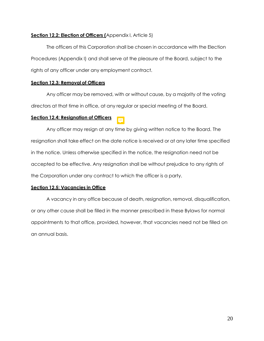# **Section 12.2: Election of Officers (**Appendix I, Article 5)

The officers of this Corporation shall be chosen in accordance with the Election Procedures (Appendix I) and shall serve at the pleasure of the Board, subject to the rights of any officer under any employment contract.

# **Section 12.3: Removal of Officers**

Any officer may be removed, with or without cause, by a majority of the voting directors at that time in office, at any regular or special meeting of the Board.

# **Section 12.4: Resignation of Officers**

Any officer may resign at any time by giving written notice to the Board. The resignation shall take effect on the date notice is received or at any later time specified in the notice. Unless otherwise specified in the notice, the resignation need not be accepted to be effective. Any resignation shall be without prejudice to any rights of the Corporation under any contract to which the officer is a party.

# **Section 12.5: Vacancies in Office**

A vacancy in any office because of death, resignation, removal, disqualification, or any other cause shall be filled in the manner prescribed in these Bylaws for normal appointments to that office, provided, however, that vacancies need not be filled on an annual basis.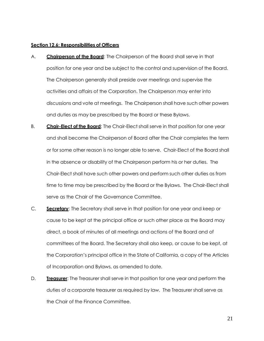#### **Section 12.6: Responsibilities of Officers**

- A. **Chairperson of the Board**: The Chairperson of the Board shall serve in that position for one year and be subject to the control and supervision of the Board. The Chairperson generally shall preside over meetings and supervise the activities and affairs of the Corporation. The Chairperson may enter into discussions and vote at meetings. The Chairperson shall have such other powers and duties as may be prescribed by the Board or these Bylaws.
- B. **Chair-Elect of the Board**: The Chair-Elect shall serve in that position for one year and shall become the Chairperson of Board after the Chair completes the term or for some other reason is no longer able to serve. Chair-Elect of the Board shall in the absence or disability of the Chairperson perform his or her duties. The Chair-Elect shall have such other powers and perform such other duties as from time to time may be prescribed by the Board or the Bylaws. The Chair-Elect shall serve as the Chair of the Governance Committee.
- C. **Secretary**: The Secretary shall serve in that position for one year and keep or cause to be kept at the principal office or such other place as the Board may direct, a book of minutes of all meetings and actions of the Board and of committees of the Board. The Secretary shall also keep, or cause to be kept, at the Corporation's principal office in the State of California, a copy of the Articles of Incorporation and Bylaws, as amended to date.
- D. **Treasurer**: The Treasurer shall serve in that position for one year and perform the duties of a corporate treasurer as required by law. The Treasurer shall serve as the Chair of the Finance Committee.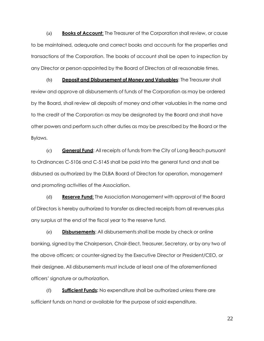(a) **Books of Account**: The Treasurer of the Corporation shall review, or cause to be maintained, adequate and correct books and accounts for the properties and transactions of the Corporation. The books of account shall be open to inspection by any Director or person appointed by the Board of Directors at all reasonable times.

(b) **Deposit and Disbursement of Money and Valuables**: The Treasurer shall review and approve all disbursements of funds of the Corporation as may be ordered by the Board, shall review all deposits of money and other valuables in the name and to the credit of the Corporation as may be designated by the Board and shall have other powers and perform such other duties as may be prescribed by the Board or the Bylaws.

(c) **General Fund**: All receipts of funds from the City of Long Beach pursuant to Ordinances C-5106 and C-5145 shall be paid into the general fund and shall be disbursed as authorized by the DLBA Board of Directors for operation, management and promoting activities of the Association.

(d) **Reserve Fund**: The Association Management with approval of the Board of Directors is hereby authorized to transfer as directed receipts from all revenues plus any surplus at the end of the fiscal year to the reserve fund.

(e) **Disbursements**: All disbursements shall be made by check or online banking, signed by the Chairperson, Chair-Elect, Treasurer, Secretary, or by any two of the above officers; or counter-signed by the Executive Director or President/CEO, or their designee. All disbursements must include at least one of the aforementioned officers' signature or authorization.

(f) **Sufficient Funds:** No expenditure shall be authorized unless there are sufficient funds on hand or available for the purpose of said expenditure.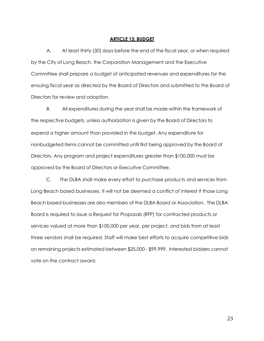#### **ARTICLE 13: BUDGET**

A. At least thirty (30) days before the end of the fiscal year, or when required by the City of Long Beach, the Corporation Management and the Executive Committee shall prepare a budget of anticipated revenues and expenditures for the ensuing fiscal year as directed by the Board of Directors and submitted to the Board of Directors for review and adoption.

B. All expenditures during the year shall be made within the framework of the respective budgets, unless authorization is given by the Board of Directors to expend a higher amount than provided in the budget. Any expenditure for nonbudgeted items cannot be committed until first being approved by the Board of Directors. Any program and project expenditures greater than \$100,000 must be approved by the Board of Directors or Executive Committee.

C. The DLBA shall make every effort to purchase products and services from Long Beach based businesses. It will not be deemed a conflict of interest if those Long Beach based businesses are also members of the DLBA Board or Association. The DLBA Board is required to issue a Request for Proposals (RFP) for contracted products or services valued at more than \$100,000 per year, per project, and bids from at least three vendors shall be required. Staff will make best efforts to acquire competitive bids on remaining projects estimated between \$25,000 - \$99,999. Interested bidders cannot vote on the contract award.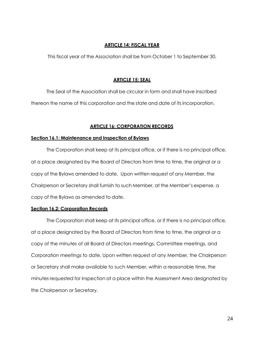# **ARTICLE 14: FISCAL YEAR**

This fiscal year of the Association shall be from October 1 to September 30.

#### **ARTICLE 15: SEAL**

The Seal of the Association shall be circular in form and shall have inscribed thereon the name of this corporation and the state and date of its incorporation.

### **ARTICLE 16: CORPORATION RECORDS**

#### **Section 16.1: Maintenance and Inspection of Bylaws**

The Corporation shall keep at its principal office, or if there is no principal office, at a place designated by the Board of Directors from time to time, the original or a copy of the Bylaws amended to date. Upon written request of any Member, the Chairperson or Secretary shall furnish to such Member, at the Member's expense, a copy of the Bylaws as amended to date.

#### **Section 16.2: Corporation Records**

The Corporation shall keep at its principal office, or if there is no principal office, at a place designated by the Board of Directors from time to time, the original or a copy of the minutes of all Board of Directors meetings, Committee meetings, and Corporation meetings to date. Upon written request of any Member, the Chairperson or Secretary shall make available to such Member, within a reasonable time, the minutes requested for inspection at a place within the Assessment Area designated by the Chairperson or Secretary.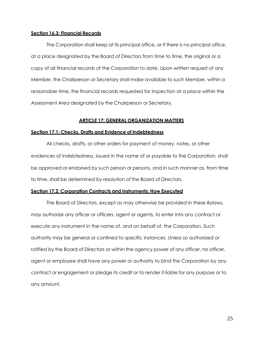#### **Section 16.3: Financial Records**

The Corporation shall keep at its principal office, or if there is no principal office, at a place designated by the Board of Directors from time to time, the original or a copy of all financial records of the Corporation to date. Upon written request of any Member, the Chairperson or Secretary shall make available to such Member, within a reasonable time, the financial records requested for inspection at a place within the Assessment Area designated by the Chairperson or Secretary.

### **ARTICLE 17: GENERAL ORGANIZATION MATTERS**

#### **Section 17.1: Checks, Drafts and Evidence of Indebtedness**

All checks, drafts, or other orders for payment of money, notes, or other evidences of indebtedness, issued in the name of or payable to the Corporation, shall be approved or endorsed by such person or persons, and in such manner as, from time to time, shall be determined by resolution of the Board of Directors.

# **Section 17.2: Corporation Contracts and Instruments; How Executed**

The Board of Directors, except as may otherwise be provided in these Bylaws, may authorize any officer or officers, agent or agents, to enter into any contract or execute any instrument in the name of, and on behalf of, the Corporation. Such authority may be general or confined to specific instances. Unless so authorized or ratified by the Board of Directors or within the agency power of any officer, no officer, agent or employee shall have any power or authority to bind the Corporation by any contract or engagement or pledge its credit or to render it liable for any purpose or to any amount.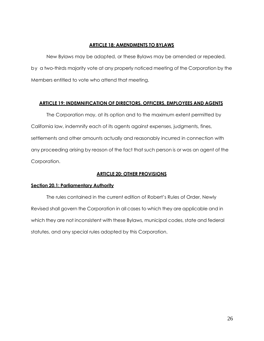# **ARTICLE 18: AMENDMENTS TO BYLAWS**

New Bylaws may be adopted, or these Bylaws may be amended or repealed, by a two-thirds majority vote at any properly noticed meeting of the Corporation by the Members entitled to vote who attend that meeting.

# **ARTICLE 19: INDEMNIFICATION OF DIRECTORS, OFFICERS, EMPLOYEES AND AGENTS**

The Corporation may, at its option and to the maximum extent permitted by California law, indemnify each of its agents against expenses, judgments, fines, settlements and other amounts actually and reasonably incurred in connection with any proceeding arising by reason of the fact that such person is or was an agent of the Corporation.

# **ARTICLE 20: OTHER PROVISIONS**

# **Section 20.1: Parliamentary Authority**

The rules contained in the current edition of Robert's Rules of Order, Newly Revised shall govern the Corporation in all cases to which they are applicable and in which they are not inconsistent with these Bylaws, municipal codes, state and federal statutes, and any special rules adopted by this Corporation.